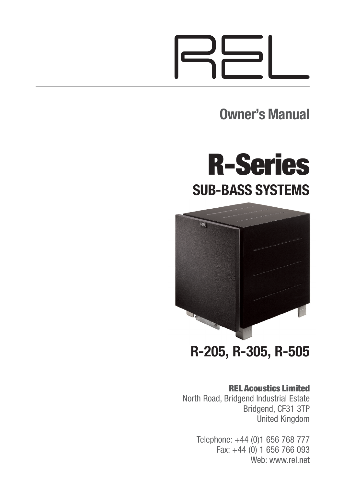**Owner's Manual**





**R-205, R-305, R-505**

#### **REL Acoustics Limited**

North Road, Bridgend Industrial Estate Bridgend, CF31 3TP United Kingdom

> Telephone: +44 (0)1 656 768 777 Fax: +44 (0) 1 656 766 093 Web: www.rel.net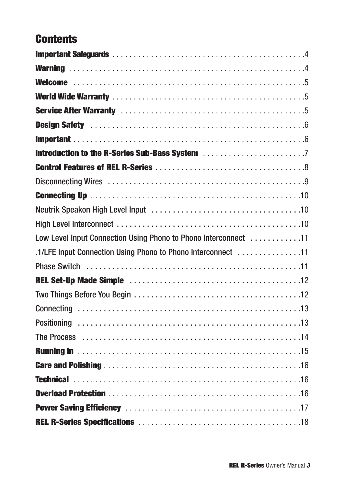### **Contents**

| Low Level Input Connection Using Phono to Phono Interconnect 11   |  |
|-------------------------------------------------------------------|--|
| .11. 11 .1/LFE Input Connection Using Phono to Phono Interconnect |  |
|                                                                   |  |
|                                                                   |  |
|                                                                   |  |
|                                                                   |  |
|                                                                   |  |
|                                                                   |  |
|                                                                   |  |
|                                                                   |  |
|                                                                   |  |
|                                                                   |  |
|                                                                   |  |
|                                                                   |  |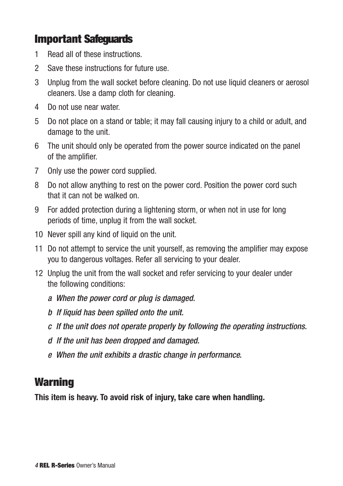### **Important Safeguards**

- 1 Read all of these instructions.
- 2 Save these instructions for future use.
- 3 Unplug from the wall socket before cleaning. Do not use liquid cleaners or aerosol cleaners. Use a damp cloth for cleaning.
- 4 Do not use near water.
- 5 Do not place on a stand or table; it may fall causing injury to a child or adult, and damage to the unit.
- 6 The unit should only be operated from the power source indicated on the panel of the amplifier.
- 7 Only use the power cord supplied.
- 8 Do not allow anything to rest on the power cord. Position the power cord such that it can not be walked on.
- 9 For added protection during a lightening storm, or when not in use for long periods of time, unplug it from the wall socket.
- 10 Never spill any kind of liquid on the unit.
- 11 Do not attempt to service the unit yourself, as removing the amplifier may expose you to dangerous voltages. Refer all servicing to your dealer.
- 12 Unplug the unit from the wall socket and refer servicing to your dealer under the following conditions:
	- *a When the power cord or plug is damaged.*
	- *b If liquid has been spilled onto the unit.*
	- *c If the unit does not operate properly by following the operating instructions.*
	- *d If the unit has been dropped and damaged.*
	- *e When the unit exhibits a drastic change in performance.*

### **Warning**

**This item is heavy. To avoid risk of injury, take care when handling.**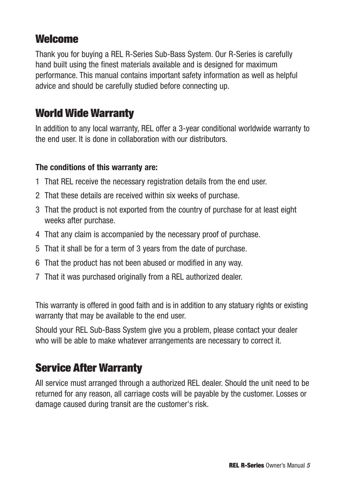### **Welcome**

Thank you for buying a REL R-Series Sub-Bass System. Our R-Series is carefully hand built using the finest materials available and is designed for maximum performance. This manual contains important safety information as well as helpful advice and should be carefully studied before connecting up.

### **World Wide Warranty**

In addition to any local warranty, REL offer a 3-year conditional worldwide warranty to the end user. It is done in collaboration with our distributors.

#### **The conditions of this warranty are:**

- 1 That REL receive the necessary registration details from the end user.
- 2 That these details are received within six weeks of purchase.
- 3 That the product is not exported from the country of purchase for at least eight weeks after purchase.
- 4 That any claim is accompanied by the necessary proof of purchase.
- 5 That it shall be for a term of 3 years from the date of purchase.
- 6 That the product has not been abused or modified in any way.
- 7 That it was purchased originally from a REL authorized dealer.

This warranty is offered in good faith and is in addition to any statuary rights or existing warranty that may be available to the end user.

Should your REL Sub-Bass System give you a problem, please contact your dealer who will be able to make whatever arrangements are necessary to correct it.

### **Service After Warranty**

All service must arranged through a authorized REL dealer. Should the unit need to be returned for any reason, all carriage costs will be payable by the customer. Losses or damage caused during transit are the customer's risk.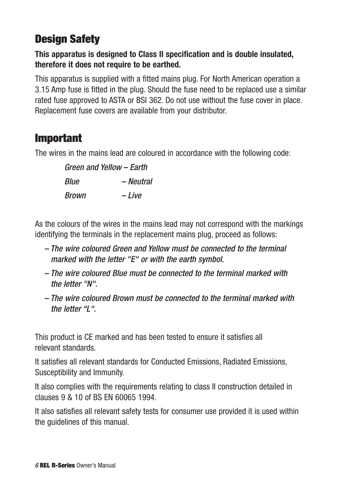# **Design Safety**

### **This apparatus is designed to Class II specification and is double insulated, therefore it does not require to be earthed.**

This apparatus is supplied with a fitted mains plug. For North American operation a 3.15 Amp fuse is fitted in the plug. Should the fuse need to be replaced use a similar rated fuse approved to ASTA or BSI 362. Do not use without the fuse cover in place. Replacement fuse covers are available from your distributor.

### **Important**

The wires in the mains lead are coloured in accordance with the following code:

*Green and Yellow – Earth Blue – Neutral Brown – Live*

As the colours of the wires in the mains lead may not correspond with the markings identifying the terminals in the replacement mains plug, proceed as follows:

- *The wire coloured Green and Yellow must be connected to the terminal marked with the letter "E" or with the earth symbol.*
- *The wire coloured Blue must be connected to the terminal marked with the letter "N".*
- *The wire coloured Brown must be connected to the terminal marked with the letter "L".*

This product is CE marked and has been tested to ensure it satisfies all relevant standards.

It satisfies all relevant standards for Conducted Emissions, Radiated Emissions, Susceptibility and Immunity.

It also complies with the requirements relating to class II construction detailed in clauses 9 & 10 of BS EN 60065 1994.

It also satisfies all relevant safety tests for consumer use provided it is used within the guidelines of this manual.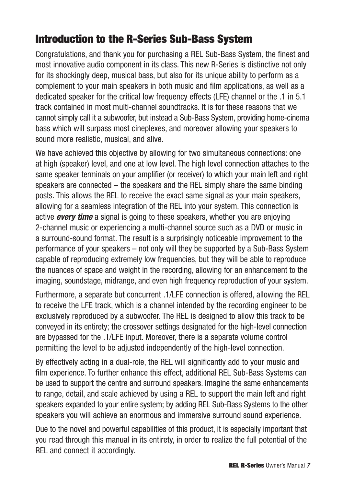### **Introduction to the R-Series Sub-Bass System**

Congratulations, and thank you for purchasing a REL Sub-Bass System, the finest and most innovative audio component in its class. This new R-Series is distinctive not only for its shockingly deep, musical bass, but also for its unique ability to perform as a complement to your main speakers in both music and film applications, as well as a dedicated speaker for the critical low frequency effects (LFE) channel or the .1 in 5.1 track contained in most multi-channel soundtracks. It is for these reasons that we cannot simply call it a subwoofer, but instead a Sub-Bass System, providing home-cinema bass which will surpass most cineplexes, and moreover allowing your speakers to sound more realistic, musical, and alive.

We have achieved this objective by allowing for two simultaneous connections: one at high (speaker) level, and one at low level. The high level connection attaches to the same speaker terminals on your amplifier (or receiver) to which your main left and right speakers are connected – the speakers and the REL simply share the same binding posts. This allows the REL to receive the exact same signal as your main speakers, allowing for a seamless integration of the REL into your system. This connection is active *every time* a signal is going to these speakers, whether you are enjoying 2-channel music or experiencing a multi-channel source such as a DVD or music in a surround-sound format. The result is a surprisingly noticeable improvement to the performance of your speakers – not only will they be supported by a Sub-Bass System capable of reproducing extremely low frequencies, but they will be able to reproduce the nuances of space and weight in the recording, allowing for an enhancement to the imaging, soundstage, midrange, and even high frequency reproduction of your system.

Furthermore, a separate but concurrent .1/LFE connection is offered, allowing the REL to receive the LFE track, which is a channel intended by the recording engineer to be exclusively reproduced by a subwoofer. The REL is designed to allow this track to be conveyed in its entirety; the crossover settings designated for the high-level connection are bypassed for the .1/LFE input. Moreover, there is a separate volume control permitting the level to be adjusted independently of the high-level connection.

By effectively acting in a dual-role, the REL will significantly add to your music and film experience. To further enhance this effect, additional REL Sub-Bass Systems can be used to support the centre and surround speakers. Imagine the same enhancements to range, detail, and scale achieved by using a REL to support the main left and right speakers expanded to your entire system; by adding REL Sub-Bass Systems to the other speakers you will achieve an enormous and immersive surround sound experience.

Due to the novel and powerful capabilities of this product, it is especially important that you read through this manual in its entirety, in order to realize the full potential of the REL and connect it accordingly.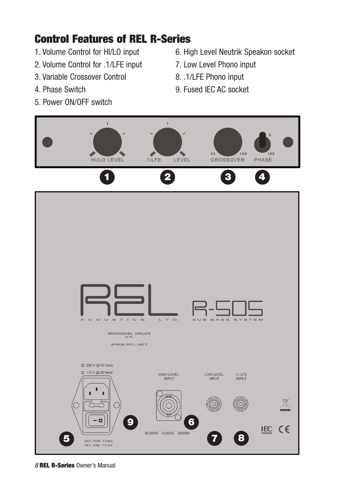### **Control Features of REL R-Series**

- 1. Volume Control for HI/LO input
- 2. Volume Control for .1/LFE input
- 3. Variable Crossover Control
- 4. Phase Switch
- 5. Power ON/OFF switch
- 6. High Level Neutrik Speakon socket
- 7. Low Level Phono input
- 8. .1/LFE Phono input
- 9. Fused IEC AC socket



*8* **REL R-Series** Owner's Manual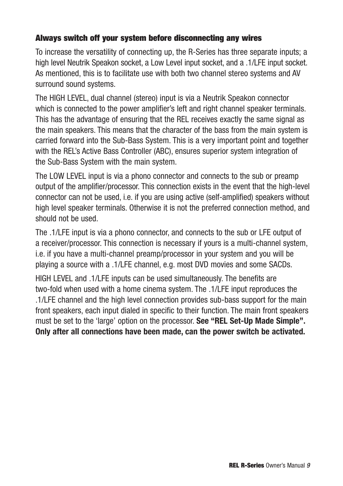#### **Always switch off your system before disconnecting any wires**

To increase the versatility of connecting up, the R-Series has three separate inputs; a high level Neutrik Speakon socket, a Low Level input socket, and a .1/LFE input socket. As mentioned, this is to facilitate use with both two channel stereo systems and AV surround sound systems.

The HIGH LEVEL, dual channel (stereo) input is via a Neutrik Speakon connector which is connected to the power amplifier's left and right channel speaker terminals. This has the advantage of ensuring that the REL receives exactly the same signal as the main speakers. This means that the character of the bass from the main system is carried forward into the Sub-Bass System. This is a very important point and together with the REL's Active Bass Controller (ABC), ensures superior system integration of the Sub-Bass System with the main system.

The LOW LEVEL input is via a phono connector and connects to the sub or preamp output of the amplifier/processor. This connection exists in the event that the high-level connector can not be used, i.e. if you are using active (self-amplified) speakers without high level speaker terminals. Otherwise it is not the preferred connection method, and should not be used.

The .1/LFE input is via a phono connector, and connects to the sub or LFE output of a receiver/processor. This connection is necessary if yours is a multi-channel system, i.e. if you have a multi-channel preamp/processor in your system and you will be playing a source with a .1/LFE channel, e.g. most DVD movies and some SACDs.

HIGH LEVEL and .1/LFE inputs can be used simultaneously. The benefits are two-fold when used with a home cinema system. The .1/LFE input reproduces the .1/LFE channel and the high level connection provides sub-bass support for the main front speakers, each input dialed in specific to their function. The main front speakers must be set to the 'large' option on the processor. **See "REL Set-Up Made Simple". Only after all connections have been made, can the power switch be activated.**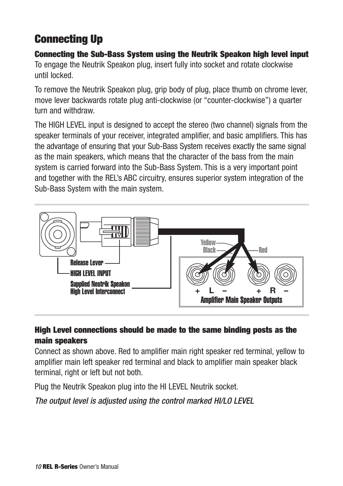## **Connecting Up**

#### **Connecting the Sub-Bass System using the Neutrik Speakon high level input** To engage the Neutrik Speakon plug, insert fully into socket and rotate clockwise until locked.

To remove the Neutrik Speakon plug, grip body of plug, place thumb on chrome lever, move lever backwards rotate plug anti-clockwise (or "counter-clockwise") a quarter turn and withdraw.

The HIGH LEVEL input is designed to accept the stereo (two channel) signals from the speaker terminals of your receiver, integrated amplifier, and basic amplifiers. This has the advantage of ensuring that your Sub-Bass System receives exactly the same signal as the main speakers, which means that the character of the bass from the main system is carried forward into the Sub-Bass System. This is a very important point and together with the REL's ABC circuitry, ensures superior system integration of the Sub-Bass System with the main system.



### **High Level connections should be made to the same binding posts as the main speakers**

Connect as shown above. Red to amplifier main right speaker red terminal, yellow to amplifier main left speaker red terminal and black to amplifier main speaker black terminal, right or left but not both.

Plug the Neutrik Speakon plug into the HI LEVEL Neutrik socket.

*The output level is adjusted using the control marked HI/LO LEVEL*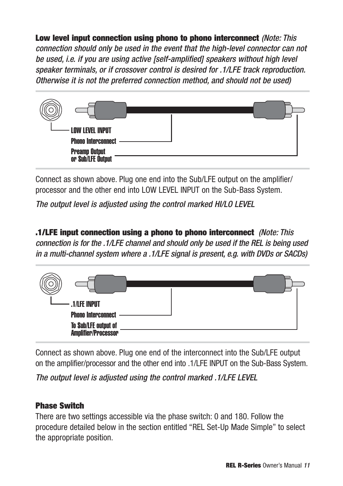**Low level input connection using phono to phono interconnect** *(Note: This connection should only be used in the event that the high-level connector can not be used, i.e. if you are using active [self-amplified] speakers without high level speaker terminals, or if crossover control is desired for .1/LFE track reproduction. Otherwise it is not the preferred connection method, and should not be used)*



Connect as shown above. Plug one end into the Sub/LFE output on the amplifier/ processor and the other end into LOW LEVEL INPUT on the Sub-Bass System.

*The output level is adjusted using the control marked HI/LO LEVEL*

**.1/LFE input connection using a phono to phono interconnect** *(Note: This connection is for the .1/LFE channel and should only be used if the REL is being used in a multi-channel system where a .1/LFE signal is present, e.g. with DVDs or SACDs)*



Connect as shown above. Plug one end of the interconnect into the Sub/LFE output on the amplifier/processor and the other end into .1/LFE INPUT on the Sub-Bass System.

*The output level is adjusted using the control marked .1/LFE LEVEL*

#### **Phase Switch**

There are two settings accessible via the phase switch: 0 and 180. Follow the procedure detailed below in the section entitled "REL Set-Up Made Simple" to select the appropriate position.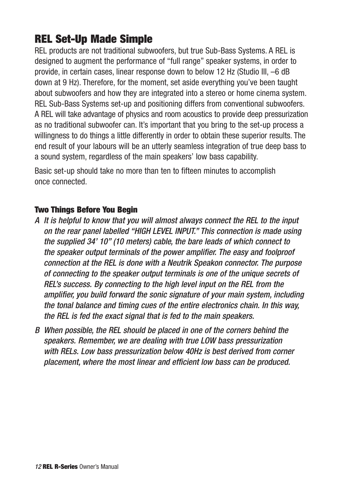### **REL Set-Up Made Simple**

REL products are not traditional subwoofers, but true Sub-Bass Systems. A REL is designed to augment the performance of "full range" speaker systems, in order to provide, in certain cases, linear response down to below 12 Hz (Studio III, –6 dB down at 9 Hz). Therefore, for the moment, set aside everything you've been taught about subwoofers and how they are integrated into a stereo or home cinema system. REL Sub-Bass Systems set-up and positioning differs from conventional subwoofers. A REL will take advantage of physics and room acoustics to provide deep pressurization as no traditional subwoofer can. It's important that you bring to the set-up process a willingness to do things a little differently in order to obtain these superior results. The end result of your labours will be an utterly seamless integration of true deep bass to a sound system, regardless of the main speakers' low bass capability.

Basic set-up should take no more than ten to fifteen minutes to accomplish once connected.

#### **Two Things Before You Begin**

- *A It is helpful to know that you will almost always connect the REL to the input on the rear panel labelled "HIGH LEVEL INPUT." This connection is made using the supplied 34' 10" (10 meters) cable, the bare leads of which connect to the speaker output terminals of the power amplifier. The easy and foolproof connection at the REL is done with a Neutrik Speakon connector. The purpose of connecting to the speaker output terminals is one of the unique secrets of REL's success. By connecting to the high level input on the REL from the amplifier, you build forward the sonic signature of your main system, including the tonal balance and timing cues of the entire electronics chain. In this way, the REL is fed the exact signal that is fed to the main speakers.*
- *B When possible, the REL should be placed in one of the corners behind the speakers. Remember, we are dealing with true LOW bass pressurization with RELs. Low bass pressurization below 40Hz is best derived from corner placement, where the most linear and efficient low bass can be produced.*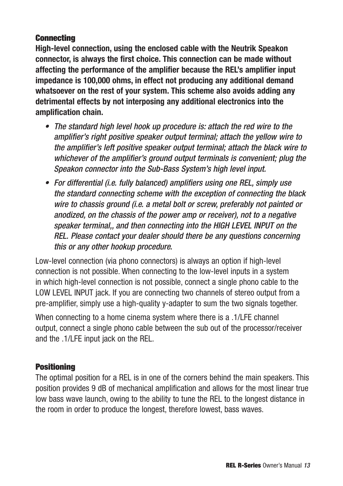#### **Connecting**

**High-level connection, using the enclosed cable with the Neutrik Speakon connector, is always the first choice. This connection can be made without affecting the performance of the amplifier because the REL's amplifier input impedance is 100,000 ohms, in effect not producing any additional demand whatsoever on the rest of your system. This scheme also avoids adding any detrimental effects by not interposing any additional electronics into the amplification chain.**

- *• The standard high level hook up procedure is: attach the red wire to the amplifier's right positive speaker output terminal; attach the yellow wire to the amplifier's left positive speaker output terminal; attach the black wire to whichever of the amplifier's ground output terminals is convenient; plug the Speakon connector into the Sub-Bass System's high level input.*
- *• For differential (i.e. fully balanced) amplifiers using one REL, simply use the standard connecting scheme with the exception of connecting the black wire to chassis ground (i.e. a metal bolt or screw, preferably not painted or anodized, on the chassis of the power amp or receiver), not to a negative speaker terminal,, and then connecting into the HIGH LEVEL INPUT on the REL. Please contact your dealer should there be any questions concerning this or any other hookup procedure.*

Low-level connection (via phono connectors) is always an option if high-level connection is not possible. When connecting to the low-level inputs in a system in which high-level connection is not possible, connect a single phono cable to the LOW LEVEL INPUT jack. If you are connecting two channels of stereo output from a pre-amplifier, simply use a high-quality y-adapter to sum the two signals together.

When connecting to a home cinema system where there is a .1/LFE channel output, connect a single phono cable between the sub out of the processor/receiver and the .1/LFE input jack on the REL.

#### **Positioning**

The optimal position for a REL is in one of the corners behind the main speakers. This position provides 9 dB of mechanical amplification and allows for the most linear true low bass wave launch, owing to the ability to tune the REL to the longest distance in the room in order to produce the longest, therefore lowest, bass waves.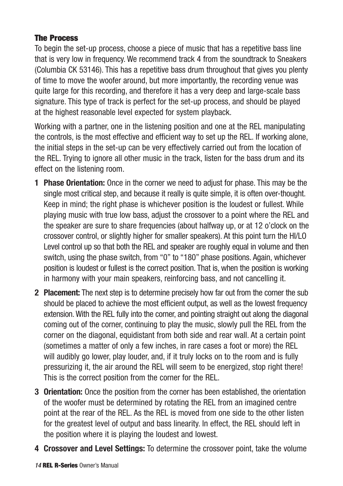#### **The Process**

To begin the set-up process, choose a piece of music that has a repetitive bass line that is very low in frequency. We recommend track 4 from the soundtrack to Sneakers (Columbia CK 53146). This has a repetitive bass drum throughout that gives you plenty of time to move the woofer around, but more importantly, the recording venue was quite large for this recording, and therefore it has a very deep and large-scale bass signature. This type of track is perfect for the set-up process, and should be played at the highest reasonable level expected for system playback.

Working with a partner, one in the listening position and one at the REL manipulating the controls, is the most effective and efficient way to set up the REL. If working alone, the initial steps in the set-up can be very effectively carried out from the location of the REL. Trying to ignore all other music in the track, listen for the bass drum and its effect on the listening room.

- **1 Phase Orientation:** Once in the corner we need to adjust for phase. This may be the single most critical step, and because it really is quite simple, it is often over-thought. Keep in mind; the right phase is whichever position is the loudest or fullest. While playing music with true low bass, adjust the crossover to a point where the REL and the speaker are sure to share frequencies (about halfway up, or at 12 o'clock on the crossover control, or slightly higher for smaller speakers). At this point turn the HI/LO Level control up so that both the REL and speaker are roughly equal in volume and then switch, using the phase switch, from "0" to "180" phase positions. Again, whichever position is loudest or fullest is the correct position. That is, when the position is working in harmony with your main speakers, reinforcing bass, and not cancelling it.
- **2 Placement:** The next step is to determine precisely how far out from the corner the sub should be placed to achieve the most efficient output, as well as the lowest frequency extension. With the REL fully into the corner, and pointing straight out along the diagonal coming out of the corner, continuing to play the music, slowly pull the REL from the corner on the diagonal, equidistant from both side and rear wall. At a certain point (sometimes a matter of only a few inches, in rare cases a foot or more) the REL will audibly go lower, play louder, and, if it truly locks on to the room and is fully pressurizing it, the air around the REL will seem to be energized, stop right there! This is the correct position from the corner for the REL.
- **3 Orientation:** Once the position from the corner has been established, the orientation of the woofer must be determined by rotating the REL from an imagined centre point at the rear of the REL. As the REL is moved from one side to the other listen for the greatest level of output and bass linearity. In effect, the REL should left in the position where it is playing the loudest and lowest.
- **4 Crossover and Level Settings:** To determine the crossover point, take the volume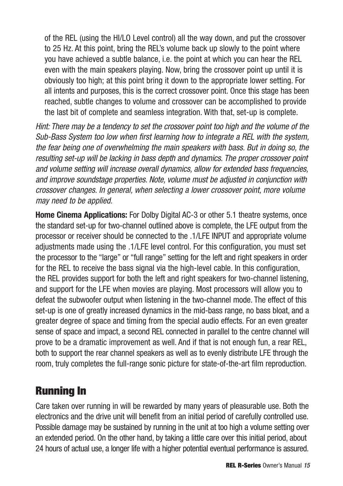of the REL (using the HI/LO Level control) all the way down, and put the crossover to 25 Hz. At this point, bring the REL's volume back up slowly to the point where you have achieved a subtle balance, i.e. the point at which you can hear the REL even with the main speakers playing. Now, bring the crossover point up until it is obviously too high; at this point bring it down to the appropriate lower setting. For all intents and purposes, this is the correct crossover point. Once this stage has been reached, subtle changes to volume and crossover can be accomplished to provide the last bit of complete and seamless integration. With that, set-up is complete.

*Hint: There may be a tendency to set the crossover point too high and the volume of the Sub-Bass System too low when first learning how to integrate a REL with the system, the fear being one of overwhelming the main speakers with bass. But in doing so, the resulting set-up will be lacking in bass depth and dynamics. The proper crossover point and volume setting will increase overall dynamics, allow for extended bass frequencies, and improve soundstage properties. Note, volume must be adjusted in conjunction with crossover changes. In general, when selecting a lower crossover point, more volume may need to be applied.*

**Home Cinema Applications:** For Dolby Digital AC-3 or other 5.1 theatre systems, once the standard set-up for two-channel outlined above is complete, the LFE output from the processor or receiver should be connected to the .1/LFE INPUT and appropriate volume adjustments made using the .1/LFE level control. For this configuration, you must set the processor to the "large" or "full range" setting for the left and right speakers in order for the REL to receive the bass signal via the high-level cable. In this configuration, the REL provides support for both the left and right speakers for two-channel listening, and support for the LFE when movies are playing. Most processors will allow you to defeat the subwoofer output when listening in the two-channel mode. The effect of this set-up is one of greatly increased dynamics in the mid-bass range, no bass bloat, and a greater degree of space and timing from the special audio effects. For an even greater sense of space and impact, a second REL connected in parallel to the centre channel will prove to be a dramatic improvement as well. And if that is not enough fun, a rear REL, both to support the rear channel speakers as well as to evenly distribute LFE through the room, truly completes the full-range sonic picture for state-of-the-art film reproduction.

### **Running In**

Care taken over running in will be rewarded by many years of pleasurable use. Both the electronics and the drive unit will benefit from an initial period of carefully controlled use. Possible damage may be sustained by running in the unit at too high a volume setting over an extended period. On the other hand, by taking a little care over this initial period, about 24 hours of actual use, a longer life with a higher potential eventual performance is assured.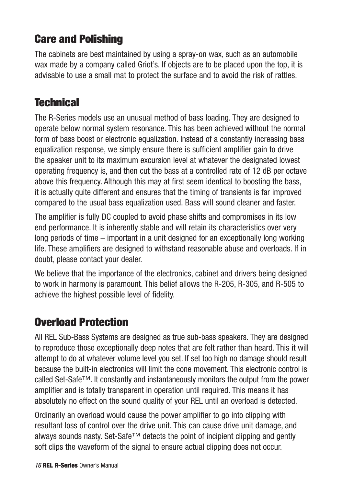## **Care and Polishing**

The cabinets are best maintained by using a spray-on wax, such as an automobile wax made by a company called Griot's. If objects are to be placed upon the top, it is advisable to use a small mat to protect the surface and to avoid the risk of rattles.

### **Technical**

The R-Series models use an unusual method of bass loading. They are designed to operate below normal system resonance. This has been achieved without the normal form of bass boost or electronic equalization. Instead of a constantly increasing bass equalization response, we simply ensure there is sufficient amplifier gain to drive the speaker unit to its maximum excursion level at whatever the designated lowest operating frequency is, and then cut the bass at a controlled rate of 12 dB per octave above this frequency. Although this may at first seem identical to boosting the bass, it is actually quite different and ensures that the timing of transients is far improved compared to the usual bass equalization used. Bass will sound cleaner and faster.

The amplifier is fully DC coupled to avoid phase shifts and compromises in its low end performance. It is inherently stable and will retain its characteristics over very long periods of time – important in a unit designed for an exceptionally long working life. These amplifiers are designed to withstand reasonable abuse and overloads. If in doubt, please contact your dealer.

We believe that the importance of the electronics, cabinet and drivers being designed to work in harmony is paramount. This belief allows the R-205, R-305, and R-505 to achieve the highest possible level of fidelity.

### **Overload Protection**

All REL Sub-Bass Systems are designed as true sub-bass speakers. They are designed to reproduce those exceptionally deep notes that are felt rather than heard. This it will attempt to do at whatever volume level you set. If set too high no damage should result because the built-in electronics will limit the cone movement. This electronic control is called Set-Safe™. It constantly and instantaneously monitors the output from the power amplifier and is totally transparent in operation until required. This means it has absolutely no effect on the sound quality of your REL until an overload is detected.

Ordinarily an overload would cause the power amplifier to go into clipping with resultant loss of control over the drive unit. This can cause drive unit damage, and always sounds nasty. Set-Safe™ detects the point of incipient clipping and gently soft clips the waveform of the signal to ensure actual clipping does not occur.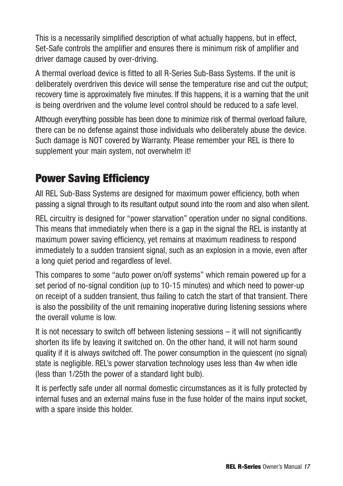This is a necessarily simplified description of what actually happens, but in effect, Set-Safe controls the amplifier and ensures there is minimum risk of amplifier and driver damage caused by over-driving.

A thermal overload device is fitted to all R-Series Sub-Bass Systems. If the unit is deliberately overdriven this device will sense the temperature rise and cut the output; recovery time is approximately five minutes. If this happens, it is a warning that the unit is being overdriven and the volume level control should be reduced to a safe level.

Although everything possible has been done to minimize risk of thermal overload failure, there can be no defense against those individuals who deliberately abuse the device. Such damage is NOT covered by Warranty. Please remember your REL is there to supplement your main system, not overwhelm it!

### **Power Saving Efficiency**

All REL Sub-Bass Systems are designed for maximum power efficiency, both when passing a signal through to its resultant output sound into the room and also when silent.

REL circuitry is designed for "power starvation" operation under no signal conditions. This means that immediately when there is a gap in the signal the REL is instantly at maximum power saving efficiency, yet remains at maximum readiness to respond immediately to a sudden transient signal, such as an explosion in a movie, even after a long quiet period and regardless of level.

This compares to some "auto power on/off systems" which remain powered up for a set period of no-signal condition (up to 10-15 minutes) and which need to power-up on receipt of a sudden transient, thus failing to catch the start of that transient. There is also the possibility of the unit remaining inoperative during listening sessions where the overall volume is low.

It is not necessary to switch off between listening sessions – it will not significantly shorten its life by leaving it switched on. On the other hand, it will not harm sound quality if it is always switched off. The power consumption in the quiescent (no signal) state is negligible. REL's power starvation technology uses less than 4w when idle (less than 1/25th the power of a standard light bulb).

It is perfectly safe under all normal domestic circumstances as it is fully protected by internal fuses and an external mains fuse in the fuse holder of the mains input socket, with a spare inside this holder.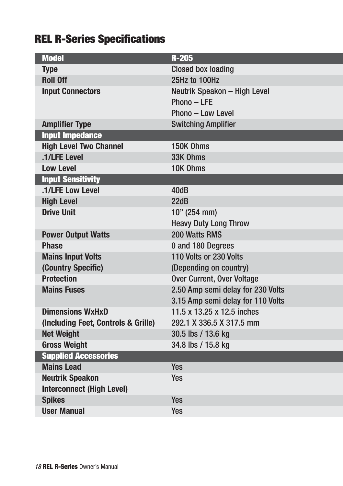# **REL R-Series Specifications**

| <b>Model</b>                        | $R-205$                           |
|-------------------------------------|-----------------------------------|
| <b>Type</b>                         | <b>Closed box loading</b>         |
| <b>Roll Off</b>                     | 25Hz to 100Hz                     |
| <b>Input Connectors</b>             | Neutrik Speakon - High Level      |
|                                     | Phono - LFE                       |
|                                     | Phono - Low Level                 |
| <b>Amplifier Type</b>               | <b>Switching Amplifier</b>        |
| <b>Input Impedance</b>              |                                   |
| <b>High Level Two Channel</b>       | 150K Ohms                         |
| .1/LFE Level                        | 33K Ohms                          |
| <b>Low Level</b>                    | 10K Ohms                          |
| <b>Input Sensitivity</b>            |                                   |
| .1/LFE Low Level                    | 40dB                              |
| <b>High Level</b>                   | 22dB                              |
| <b>Drive Unit</b>                   | 10" (254 mm)                      |
|                                     | <b>Heavy Duty Long Throw</b>      |
| <b>Power Output Watts</b>           | 200 Watts RMS                     |
| <b>Phase</b>                        | 0 and 180 Degrees                 |
| <b>Mains Input Volts</b>            | 110 Volts or 230 Volts            |
| (Country Specific)                  | (Depending on country)            |
| <b>Protection</b>                   | <b>Over Current, Over Voltage</b> |
| <b>Mains Fuses</b>                  | 2.50 Amp semi delay for 230 Volts |
|                                     | 3.15 Amp semi delay for 110 Volts |
| <b>Dimensions WxHxD</b>             | 11.5 x 13.25 x 12.5 inches        |
| (Including Feet, Controls & Grille) | 292.1 X 336.5 X 317.5 mm          |
| <b>Net Weight</b>                   | 30.5 lbs / 13.6 kg                |
| <b>Gross Weight</b>                 | 34.8 lbs / 15.8 kg                |
| <b>Supplied Accessories</b>         |                                   |
| <b>Mains Lead</b>                   | Yes                               |
| <b>Neutrik Speakon</b>              | <b>Yes</b>                        |
| <b>Interconnect (High Level)</b>    |                                   |
| <b>Spikes</b>                       | <b>Yes</b>                        |
| <b>User Manual</b>                  | <b>Yes</b>                        |